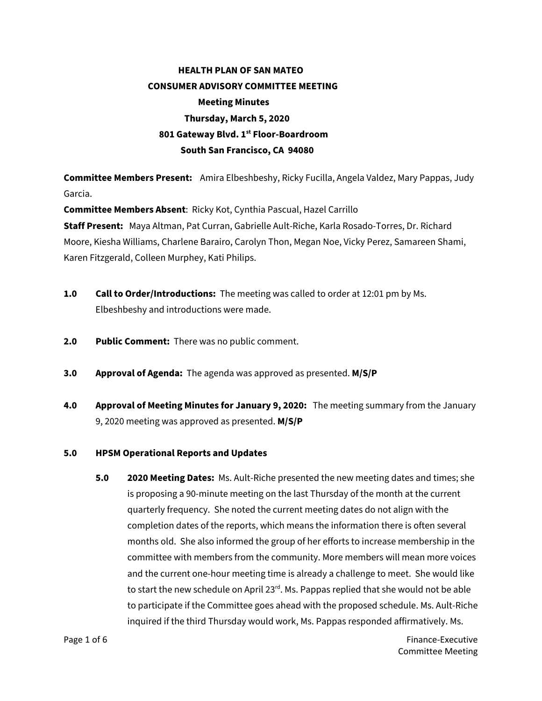## **HEALTH PLAN OF SAN MATEO CONSUMER ADVISORY COMMITTEE MEETING Meeting Minutes Thursday, March 5, 2020 801 Gateway Blvd. 1st Floor-Boardroom South San Francisco, CA 94080**

**Committee Members Present:** Amira Elbeshbeshy, Ricky Fucilla, Angela Valdez, Mary Pappas, Judy Garcia.

**Committee Members Absent**: Ricky Kot, Cynthia Pascual, Hazel Carrillo

**Staff Present:** Maya Altman, Pat Curran, Gabrielle Ault-Riche, Karla Rosado-Torres, Dr. Richard Moore, Kiesha Williams, Charlene Barairo, Carolyn Thon, Megan Noe, Vicky Perez, Samareen Shami, Karen Fitzgerald, Colleen Murphey, Kati Philips.

- **1.0 Call to Order/Introductions:** The meeting was called to order at 12:01 pm by Ms. Elbeshbeshy and introductions were made.
- **2.0 Public Comment:** There was no public comment.
- **3.0 Approval of Agenda:** The agenda was approved as presented. **M/S/P**
- **4.0 Approval of Meeting Minutes for January 9, 2020:** The meeting summary from the January 9, 2020 meeting was approved as presented. **M/S/P**

## **5.0 HPSM Operational Reports and Updates**

**5.0 2020 Meeting Dates:** Ms. Ault-Riche presented the new meeting dates and times; she is proposing a 90-minute meeting on the last Thursday of the month at the current quarterly frequency. She noted the current meeting dates do not align with the completion dates of the reports, which means the information there is often several months old. She also informed the group of her efforts to increase membership in the committee with members from the community. More members will mean more voices and the current one-hour meeting time is already a challenge to meet. She would like to start the new schedule on April 23 $^{rd}$ . Ms. Pappas replied that she would not be able to participate if the Committee goes ahead with the proposed schedule. Ms. Ault-Riche inquired if the third Thursday would work, Ms. Pappas responded affirmatively. Ms.

Page 1 of 6 Finance-Executive **Page 1** of 6 Committee Meeting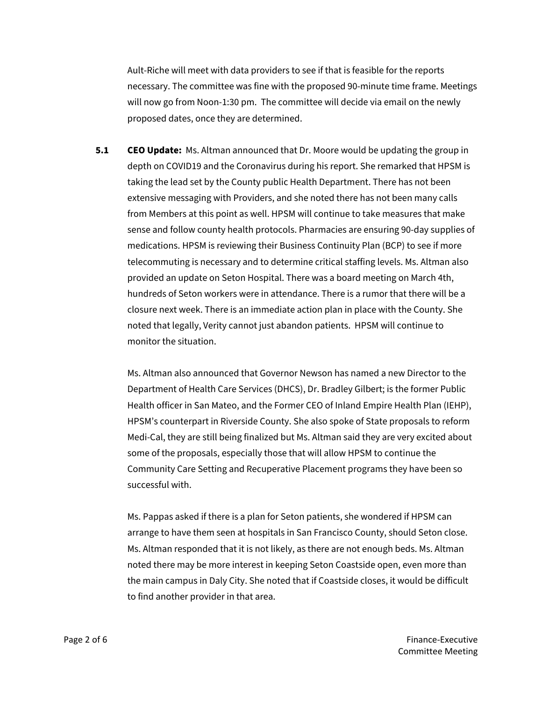Ault-Riche will meet with data providers to see if that is feasible for the reports necessary. The committee was fine with the proposed 90-minute time frame. Meetings will now go from Noon-1:30 pm. The committee will decide via email on the newly proposed dates, once they are determined.

**5.1 CEO Update:** Ms. Altman announced that Dr. Moore would be updating the group in depth on COVID19 and the Coronavirus during his report. She remarked that HPSM is taking the lead set by the County public Health Department. There has not been extensive messaging with Providers, and she noted there has not been many calls from Members at this point as well. HPSM will continue to take measures that make sense and follow county health protocols. Pharmacies are ensuring 90-day supplies of medications. HPSM is reviewing their Business Continuity Plan (BCP) to see if more telecommuting is necessary and to determine critical staffing levels. Ms. Altman also provided an update on Seton Hospital. There was a board meeting on March 4th, hundreds of Seton workers were in attendance. There is a rumor that there will be a closure next week. There is an immediate action plan in place with the County. She noted that legally, Verity cannot just abandon patients. HPSM will continue to monitor the situation.

Ms. Altman also announced that Governor Newson has named a new Director to the Department of Health Care Services (DHCS), Dr. Bradley Gilbert; is the former Public Health officer in San Mateo, and the Former CEO of Inland Empire Health Plan (IEHP), HPSM's counterpart in Riverside County. She also spoke of State proposals to reform Medi-Cal, they are still being finalized but Ms. Altman said they are very excited about some of the proposals, especially those that will allow HPSM to continue the Community Care Setting and Recuperative Placement programs they have been so successful with.

Ms. Pappas asked if there is a plan for Seton patients, she wondered if HPSM can arrange to have them seen at hospitals in San Francisco County, should Seton close. Ms. Altman responded that it is not likely, as there are not enough beds. Ms. Altman noted there may be more interest in keeping Seton Coastside open, even more than the main campus in Daly City. She noted that if Coastside closes, it would be difficult to find another provider in that area.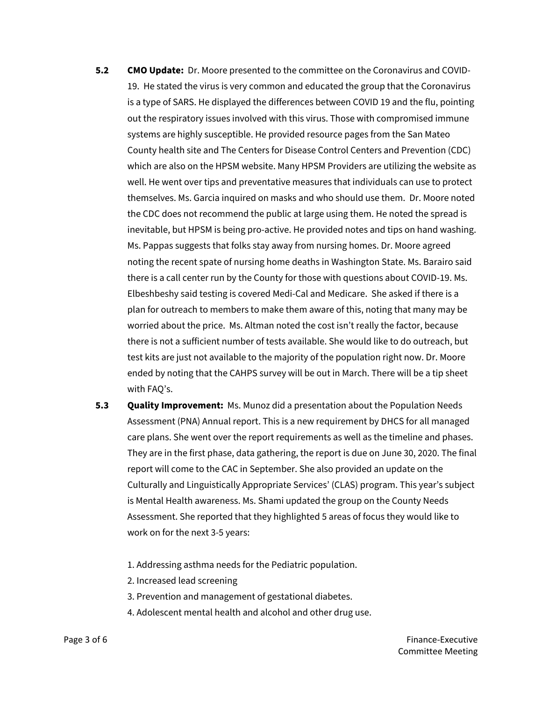- **5.2 CMO Update:** Dr. Moore presented to the committee on the Coronavirus and COVID-19. He stated the virus is very common and educated the group that the Coronavirus is a type of SARS. He displayed the differences between COVID 19 and the flu, pointing out the respiratory issues involved with this virus. Those with compromised immune systems are highly susceptible. He provided resource pages from the San Mateo County health site and The Centers for Disease Control Centers and Prevention (CDC) which are also on the HPSM website. Many HPSM Providers are utilizing the website as well. He went over tips and preventative measures that individuals can use to protect themselves. Ms. Garcia inquired on masks and who should use them. Dr. Moore noted the CDC does not recommend the public at large using them. He noted the spread is inevitable, but HPSM is being pro-active. He provided notes and tips on hand washing. Ms. Pappas suggests that folks stay away from nursing homes. Dr. Moore agreed noting the recent spate of nursing home deaths in Washington State. Ms. Barairo said there is a call center run by the County for those with questions about COVID-19. Ms. Elbeshbeshy said testing is covered Medi-Cal and Medicare. She asked if there is a plan for outreach to members to make them aware of this, noting that many may be worried about the price. Ms. Altman noted the cost isn't really the factor, because there is not a sufficient number of tests available. She would like to do outreach, but test kits are just not available to the majority of the population right now. Dr. Moore ended by noting that the CAHPS survey will be out in March. There will be a tip sheet with FAQ's.
- **5.3 Quality Improvement:** Ms. Munoz did a presentation about the Population Needs Assessment (PNA) Annual report. This is a new requirement by DHCS for all managed care plans. She went over the report requirements as well as the timeline and phases. They are in the first phase, data gathering, the report is due on June 30, 2020. The final report will come to the CAC in September. She also provided an update on the Culturally and Linguistically Appropriate Services' (CLAS) program. This year's subject is Mental Health awareness. Ms. Shami updated the group on the County Needs Assessment. She reported that they highlighted 5 areas of focus they would like to work on for the next 3-5 years:
	- 1. Addressing asthma needs for the Pediatric population.
	- 2. Increased lead screening
	- 3. Prevention and management of gestational diabetes.
	- 4. Adolescent mental health and alcohol and other drug use.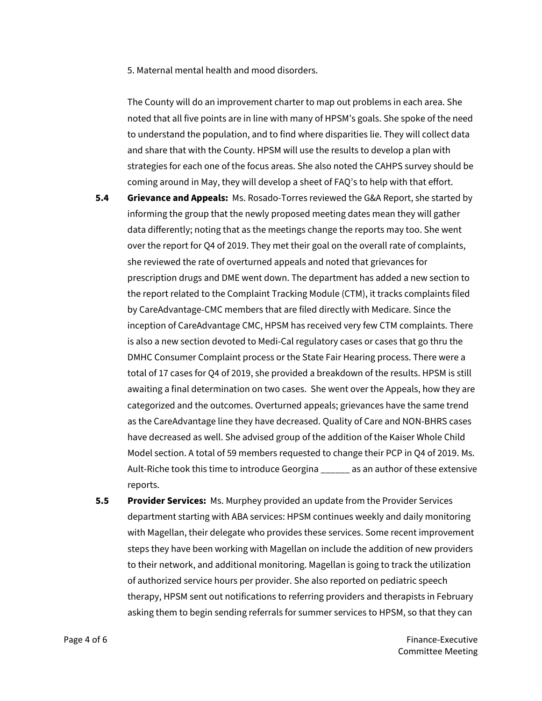5. Maternal mental health and mood disorders.

The County will do an improvement charter to map out problems in each area. She noted that all five points are in line with many of HPSM's goals. She spoke of the need to understand the population, and to find where disparities lie. They will collect data and share that with the County. HPSM will use the results to develop a plan with strategies for each one of the focus areas. She also noted the CAHPS survey should be coming around in May, they will develop a sheet of FAQ's to help with that effort.

- **5.4 Grievance and Appeals:** Ms. Rosado-Torres reviewed the G&A Report, she started by informing the group that the newly proposed meeting dates mean they will gather data differently; noting that as the meetings change the reports may too. She went over the report for Q4 of 2019. They met their goal on the overall rate of complaints, she reviewed the rate of overturned appeals and noted that grievances for prescription drugs and DME went down. The department has added a new section to the report related to the Complaint Tracking Module (CTM), it tracks complaints filed by CareAdvantage-CMC members that are filed directly with Medicare. Since the inception of CareAdvantage CMC, HPSM has received very few CTM complaints. There is also a new section devoted to Medi-Cal regulatory cases or cases that go thru the DMHC Consumer Complaint process or the State Fair Hearing process. There were a total of 17 cases for Q4 of 2019, she provided a breakdown of the results. HPSM is still awaiting a final determination on two cases. She went over the Appeals, how they are categorized and the outcomes. Overturned appeals; grievances have the same trend as the CareAdvantage line they have decreased. Quality of Care and NON-BHRS cases have decreased as well. She advised group of the addition of the Kaiser Whole Child Model section. A total of 59 members requested to change their PCP in Q4 of 2019. Ms. Ault-Riche took this time to introduce Georgina \_\_\_\_\_\_ as an author of these extensive reports.
- **5.5 Provider Services:** Ms. Murphey provided an update from the Provider Services department starting with ABA services: HPSM continues weekly and daily monitoring with Magellan, their delegate who provides these services. Some recent improvement steps they have been working with Magellan on include the addition of new providers to their network, and additional monitoring. Magellan is going to track the utilization of authorized service hours per provider. She also reported on pediatric speech therapy, HPSM sent out notifications to referring providers and therapists in February asking them to begin sending referrals for summer services to HPSM, so that they can

Page 4 of 6 Finance-Executive **Page 4 of 6** Finance-Executive Committee Meeting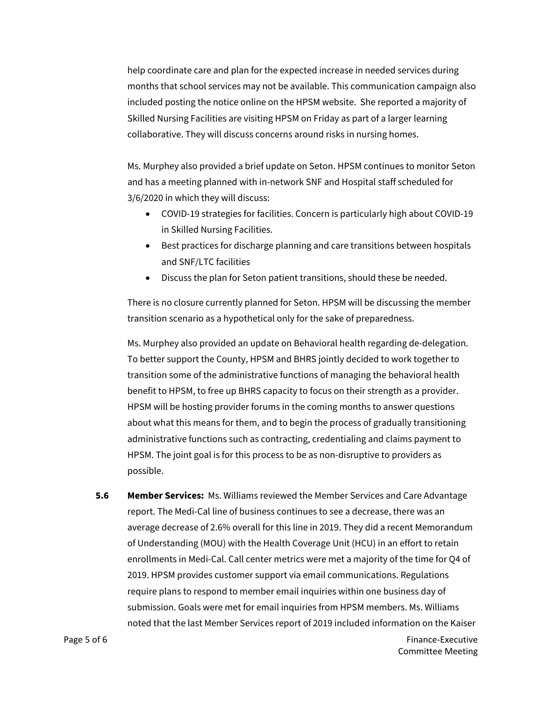help coordinate care and plan for the expected increase in needed services during months that school services may not be available. This communication campaign also included posting the notice online on the HPSM website. She reported a majority of Skilled Nursing Facilities are visiting HPSM on Friday as part of a larger learning collaborative. They will discuss concerns around risks in nursing homes.

Ms. Murphey also provided a brief update on Seton. HPSM continues to monitor Seton and has a meeting planned with in-network SNF and Hospital staff scheduled for 3/6/2020 in which they will discuss:

- COVID-19 strategies for facilities. Concern is particularly high about COVID-19 in Skilled Nursing Facilities.
- Best practices for discharge planning and care transitions between hospitals and SNF/LTC facilities
- Discuss the plan for Seton patient transitions, should these be needed.

There is no closure currently planned for Seton. HPSM will be discussing the member transition scenario as a hypothetical only for the sake of preparedness.

Ms. Murphey also provided an update on Behavioral health regarding de-delegation. To better support the County, HPSM and BHRS jointly decided to work together to transition some of the administrative functions of managing the behavioral health benefit to HPSM, to free up BHRS capacity to focus on their strength as a provider. HPSM will be hosting provider forums in the coming months to answer questions about what this means for them, and to begin the process of gradually transitioning administrative functions such as contracting, credentialing and claims payment to HPSM. The joint goal is for this process to be as non-disruptive to providers as possible.

**5.6 Member Services:** Ms. Williams reviewed the Member Services and Care Advantage report. The Medi-Cal line of business continues to see a decrease, there was an average decrease of 2.6% overall for this line in 2019. They did a recent Memorandum of Understanding (MOU) with the Health Coverage Unit (HCU) in an effort to retain enrollments in Medi-Cal. Call center metrics were met a majority of the time for Q4 of 2019. HPSM provides customer support via email communications. Regulations require plans to respond to member email inquiries within one business day of submission. Goals were met for email inquiries from HPSM members. Ms. Williams noted that the last Member Services report of 2019 included information on the Kaiser